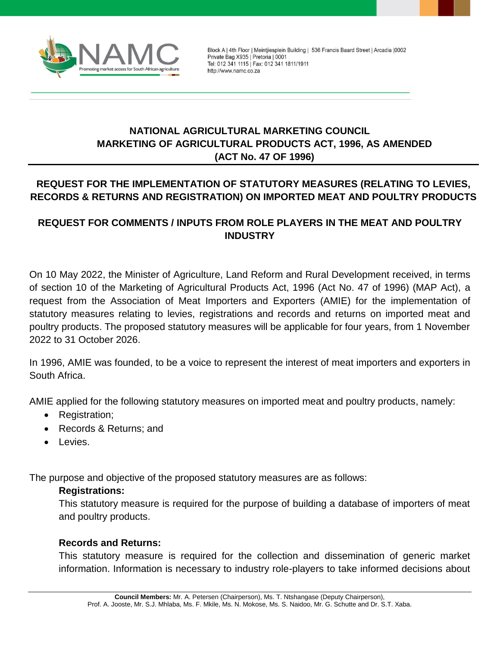

Block A | 4th Floor | Meintjiesplein Building | 536 Francis Baard Street | Arcadia | 0002 Private Bag X935 | Pretoria | 0001 Tel: 012 341 1115 | Fax: 012 341 1811/1911 http://www.namc.co.za

# **NATIONAL AGRICULTURAL MARKETING COUNCIL MARKETING OF AGRICULTURAL PRODUCTS ACT, 1996, AS AMENDED (ACT No. 47 OF 1996)**

# **REQUEST FOR THE IMPLEMENTATION OF STATUTORY MEASURES (RELATING TO LEVIES, RECORDS & RETURNS AND REGISTRATION) ON IMPORTED MEAT AND POULTRY PRODUCTS**

## **REQUEST FOR COMMENTS / INPUTS FROM ROLE PLAYERS IN THE MEAT AND POULTRY INDUSTRY**

On 10 May 2022, the Minister of Agriculture, Land Reform and Rural Development received, in terms of section 10 of the Marketing of Agricultural Products Act, 1996 (Act No. 47 of 1996) (MAP Act), a request from the Association of Meat Importers and Exporters (AMIE) for the implementation of statutory measures relating to levies, registrations and records and returns on imported meat and poultry products. The proposed statutory measures will be applicable for four years, from 1 November 2022 to 31 October 2026.

In 1996, AMIE was founded, to be a voice to represent the interest of meat importers and exporters in South Africa.

AMIE applied for the following statutory measures on imported meat and poultry products, namely:

- Registration;
- Records & Returns; and
- **•** Levies.

The purpose and objective of the proposed statutory measures are as follows:

#### **Registrations:**

This statutory measure is required for the purpose of building a database of importers of meat and poultry products.

### **Records and Returns:**

This statutory measure is required for the collection and dissemination of generic market information. Information is necessary to industry role-players to take informed decisions about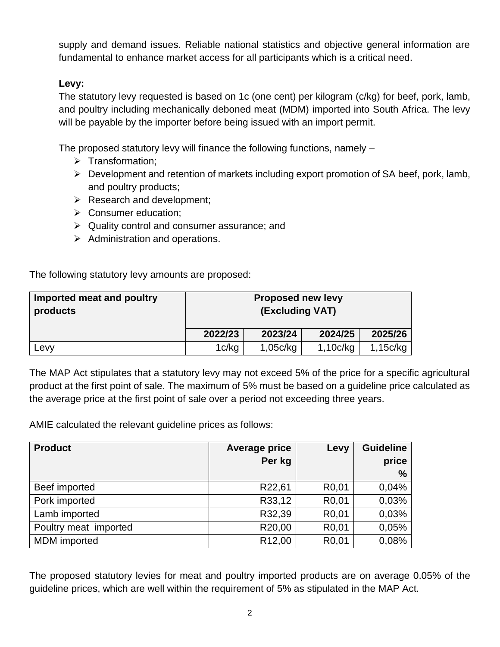supply and demand issues. Reliable national statistics and objective general information are fundamental to enhance market access for all participants which is a critical need.

## **Levy:**

The statutory levy requested is based on 1c (one cent) per kilogram (c/kg) for beef, pork, lamb, and poultry including mechanically deboned meat (MDM) imported into South Africa. The levy will be payable by the importer before being issued with an import permit.

The proposed statutory levy will finance the following functions, namely –

- $\triangleright$  Transformation;
- $\triangleright$  Development and retention of markets including export promotion of SA beef, pork, lamb, and poultry products;
- $\triangleright$  Research and development;
- $\triangleright$  Consumer education:
- $\triangleright$  Quality control and consumer assurance; and
- $\triangleright$  Administration and operations.

The following statutory levy amounts are proposed:

| Imported meat and poultry<br>products | <b>Proposed new levy</b><br>(Excluding VAT) |          |          |          |
|---------------------------------------|---------------------------------------------|----------|----------|----------|
|                                       | 2022/23                                     | 2023/24  | 2024/25  | 2025/26  |
| Levy                                  | 1c/kg                                       | 1,05c/kg | 1,10c/kg | 1,15c/kg |

The MAP Act stipulates that a statutory levy may not exceed 5% of the price for a specific agricultural product at the first point of sale. The maximum of 5% must be based on a guideline price calculated as the average price at the first point of sale over a period not exceeding three years.

AMIE calculated the relevant guideline prices as follows:

| <b>Product</b>        | <b>Average price</b> | Levy               | <b>Guideline</b> |
|-----------------------|----------------------|--------------------|------------------|
|                       | Per kg               |                    | price            |
|                       |                      |                    | $\frac{6}{6}$    |
| Beef imported         | R22,61               | R <sub>0</sub> ,01 | 0,04%            |
| Pork imported         | R33,12               | R <sub>0</sub> ,01 | 0,03%            |
| Lamb imported         | R32,39               | R <sub>0</sub> ,01 | 0,03%            |
| Poultry meat imported | R20,00               | R <sub>0</sub> ,01 | 0,05%            |
| <b>MDM</b> imported   | R <sub>12,00</sub>   | R <sub>0</sub> ,01 | 0,08%            |

The proposed statutory levies for meat and poultry imported products are on average 0.05% of the guideline prices, which are well within the requirement of 5% as stipulated in the MAP Act.